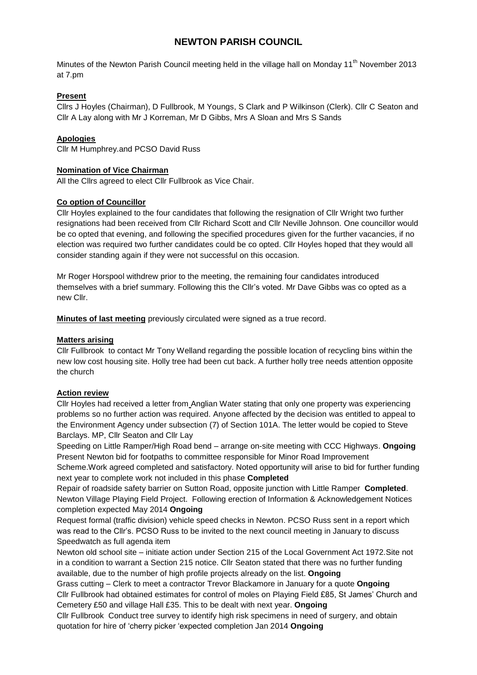# **NEWTON PARISH COUNCIL**

Minutes of the Newton Parish Council meeting held in the village hall on Monday 11<sup>th</sup> November 2013 at 7.pm

### **Present**

Cllrs J Hoyles (Chairman), D Fullbrook, M Youngs, S Clark and P Wilkinson (Clerk). Cllr C Seaton and Cllr A Lay along with Mr J Korreman, Mr D Gibbs, Mrs A Sloan and Mrs S Sands

### **Apologies**

Cllr M Humphrey.and PCSO David Russ

#### **Nomination of Vice Chairman**

All the Cllrs agreed to elect Cllr Fullbrook as Vice Chair.

#### **Co option of Councillor**

Cllr Hoyles explained to the four candidates that following the resignation of Cllr Wright two further resignations had been received from Cllr Richard Scott and Cllr Neville Johnson. One councillor would be co opted that evening, and following the specified procedures given for the further vacancies, if no election was required two further candidates could be co opted. Cllr Hoyles hoped that they would all consider standing again if they were not successful on this occasion.

Mr Roger Horspool withdrew prior to the meeting, the remaining four candidates introduced themselves with a brief summary. Following this the Cllr's voted. Mr Dave Gibbs was co opted as a new Cllr.

**Minutes of last meeting** previously circulated were signed as a true record.

#### **Matters arising**

Cllr Fullbrook to contact Mr Tony Welland regarding the possible location of recycling bins within the new low cost housing site. Holly tree had been cut back. A further holly tree needs attention opposite the church

#### **Action review**

Cllr Hoyles had received a letter from Anglian Water stating that only one property was experiencing problems so no further action was required. Anyone affected by the decision was entitled to appeal to the Environment Agency under subsection (7) of Section 101A. The letter would be copied to Steve Barclays. MP, Cllr Seaton and Cllr Lay

Speeding on Little Ramper/High Road bend – arrange on-site meeting with CCC Highways. **Ongoing** Present Newton bid for footpaths to committee responsible for Minor Road Improvement

Scheme.Work agreed completed and satisfactory. Noted opportunity will arise to bid for further funding next year to complete work not included in this phase **Completed**

Repair of roadside safety barrier on Sutton Road, opposite junction with Little Ramper **Completed**. Newton Village Playing Field Project. Following erection of Information & Acknowledgement Notices completion expected May 2014 **Ongoing**

Request formal (traffic division) vehicle speed checks in Newton. PCSO Russ sent in a report which was read to the Cllr's. PCSO Russ to be invited to the next council meeting in January to discuss Speedwatch as full agenda item

Newton old school site – initiate action under Section 215 of the Local Government Act 1972.Site not in a condition to warrant a Section 215 notice. Cllr Seaton stated that there was no further funding available, due to the number of high profile projects already on the list. **Ongoing**

Grass cutting – Clerk to meet a contractor Trevor Blackamore in January for a quote **Ongoing** Cllr Fullbrook had obtained estimates for control of moles on Playing Field £85, St James' Church and Cemetery £50 and village Hall £35. This to be dealt with next year. **Ongoing**

Cllr Fullbrook Conduct tree survey to identify high risk specimens in need of surgery, and obtain quotation for hire of 'cherry picker 'expected completion Jan 2014 **Ongoing**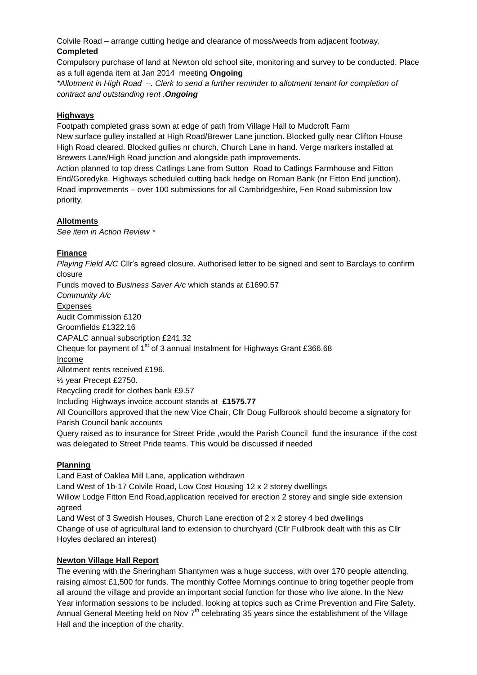Colvile Road – arrange cutting hedge and clearance of moss/weeds from adjacent footway. **Completed**

Compulsory purchase of land at Newton old school site, monitoring and survey to be conducted. Place as a full agenda item at Jan 2014 meeting **Ongoing**

*\*Allotment in High Road –. Clerk to send a further reminder to allotment tenant for completion of contract and outstanding rent .Ongoing*

### **Highways**

Footpath completed grass sown at edge of path from Village Hall to Mudcroft Farm New surface gulley installed at High Road/Brewer Lane junction. Blocked gully near Clifton House High Road cleared. Blocked gullies nr church, Church Lane in hand. Verge markers installed at Brewers Lane/High Road junction and alongside path improvements.

Action planned to top dress Catlings Lane from Sutton Road to Catlings Farmhouse and Fitton End/Goredyke. Highways scheduled cutting back hedge on Roman Bank (nr Fitton End junction). Road improvements – over 100 submissions for all Cambridgeshire, Fen Road submission low priority.

### **Allotments**

*See item in Action Review \**

### **Finance**

*Playing Field A/C* Cllr's agreed closure. Authorised letter to be signed and sent to Barclays to confirm closure Funds moved to *Business Saver A/c* which stands at £1690.57 *Community A/c* Expenses Audit Commission £120 Groomfields £1322.16 CAPALC annual subscription £241.32 Cheque for payment of 1<sup>st</sup> of 3 annual Instalment for Highways Grant £366.68 Income Allotment rents received £196. ½ year Precept £2750. Recycling credit for clothes bank £9.57 Including Highways invoice account stands at **£1575.77** All Councillors approved that the new Vice Chair, Cllr Doug Fullbrook should become a signatory for Parish Council bank accounts Query raised as to insurance for Street Pride ,would the Parish Council fund the insurance if the cost was delegated to Street Pride teams. This would be discussed if needed

## **Planning**

Land East of Oaklea Mill Lane, application withdrawn Land West of 1b-17 Colvile Road, Low Cost Housing 12 x 2 storey dwellings Willow Lodge Fitton End Road,application received for erection 2 storey and single side extension agreed Land West of 3 Swedish Houses, Church Lane erection of 2 x 2 storey 4 bed dwellings Change of use of agricultural land to extension to churchyard (Cllr Fullbrook dealt with this as Cllr

Hoyles declared an interest)

#### **Newton Village Hall Report**

The evening with the Sheringham Shantymen was a huge success, with over 170 people attending, raising almost £1,500 for funds. The monthly Coffee Mornings continue to bring together people from all around the village and provide an important social function for those who live alone. In the New Year information sessions to be included, looking at topics such as Crime Prevention and Fire Safety. Annual General Meeting held on Nov  $7<sup>th</sup>$  celebrating 35 years since the establishment of the Village Hall and the inception of the charity.